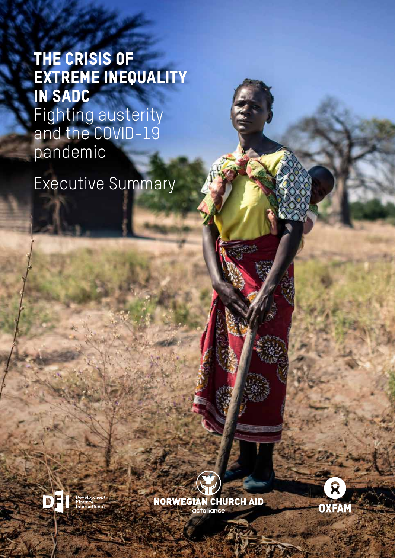# The Crisis of Extreme Inequality in SADC Fighting austerity and the COVID-19 pandemic

**1 THE CRISIS OF EXTREME INEQUALITY IN SADC**  FIGHTING AUSTERITY AND THE COVID-19 PANDEMIC

Executive Summary







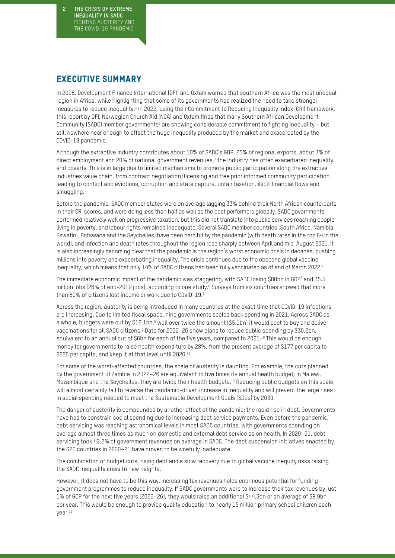**2 THE CRISIS OF EXTREME INEQUALITY IN SADC**  FIGHTING AUSTERITY AND THE COVID-19 PANDEMIC

# EXECUTIVE SUMMARY

In 2018, Development Finance International (DFI) and Oxfam warned that southern Africa was the most unequal region in Africa, while highlighting that some of its governments had realized the need to take stronger measures to reduce inequality.<sup>1</sup> In 2022, using their Commitment to Reducing Inequality Index (CRI) framework, this report by DFI, Norwegian Church Aid (NCA) and Oxfam finds that many Southern African Development Community (SADC) member governments<sup>2</sup> are showing considerable commitment to fighting inequality – but still nowhere near enough to offset the huge inequality produced by the market and exacerbated by the COVID-19 pandemic.

Although the extractive industry contributes about 10% of SADC's GDP, 25% of regional exports, about 7% of direct employment and 20% of national government revenues, $3$  the industry has often exacerbated inequality and poverty. This is in large due to limited mechanisms to promote public participation along the extractive industries value chain, from contract negotiation/licensing and free prior informed community participation leading to conflict and evictions, corruption and state capture, unfair taxation, illicit financial flows and smuggling.

Before the pandemic, SADC member states were on average lagging 33% behind their North African counterparts in their CRI scores, and were doing less than half as well as the best performers globally. SADC governments performed relatively well on progressive taxation, but this did not translate into public services reaching people living in poverty, and labour rights remained inadequate. Several SADC member countries (South Africa, Namibia, Eswatini, Botswana and the Seychelles) have been hard hit by the pandemic (with death rates in the top 64 in the world), and infection and death rates throughout the region rose sharply between April and mid-August 2021. It is also increasingly becoming clear that the pandemic is the region's worst economic crisis in decades, pushing millions into poverty and exacerbating inequality. The crisis continues due to the obscene global vaccine inequality, which means that only 14% of SADC citizens had been fully vaccinated as of end of March 2022.<sup>4</sup>

The immediate economic impact of the pandemic was staggering, with SADC losing \$80bn in GDP<sup>5</sup> and 35.5 million jobs (26% of end-2019 jobs), according to one study.<sup>6</sup> Surveys from six countries showed that more than 60% of citizens lost income or work due to COVID-19.7

Across the region, austerity is being introduced in many countries at the exact time that COVID-19 infections are increasing. Due to limited fiscal space, nine governments scaled back spending in 2021. Across SADC as a whole, budgets were cut by \$12.1bn,<sup>8</sup> well over twice the amount (\$5.1bn) it would cost to buy and deliver vaccinations for all SADC citizens.<sup>9</sup> Data for 2022–26 show plans to reduce public spending by \$30.2bn, equivalent to an annual cut of \$6bn for each of the five years, compared to 2021.<sup>10</sup> This would be enough money for governments to raise health expenditure by 28%, from the present average of \$177 per capita to \$226 per capita, and keep it at that level until 2026.<sup>11</sup>

For some of the worst-affected countries, the scale of austerity is daunting. For example, the cuts planned by the government of Zambia in 2022–26 are equivalent to five times its annual health budget; in Malawi, Mozambique and the Seychelles, they are twice their health budgets.<sup>12</sup> Reducing public budgets on this scale will almost certainly fail to reverse the pandemic-driven increase in inequality and will prevent the large rises in social spending needed to meet the Sustainable Development Goals (SDGs) by 2030.

The danger of austerity is compounded by another effect of the pandemic: the rapid rise in debt. Governments have had to constrain social spending due to increasing debt service payments. Even before the pandemic, debt servicing was reaching astronomical levels in most SADC countries, with governments spending on average almost three times as much on domestic and external debt service as on health. In 2020–21, debt servicing took 42.2% of government revenues on average in SADC. The debt suspension initiatives enacted by the G20 countries in 2020–21 have proven to be woefully inadequate.

The combination of budget cuts, rising debt and a slow recovery due to global vaccine inequity risks raising the SADC inequality crisis to new heights.

However, it does not have to be this way. Increasing tax revenues holds enormous potential for funding government programmes to reduce inequality. If SADC governments were to increase their tax revenues by just 1% of GDP for the next five years (2022–26), they would raise an additional \$44.3bn or an average of \$8.9bn per year. This would be enough to provide quality education to nearly 15 million primary school children each year.13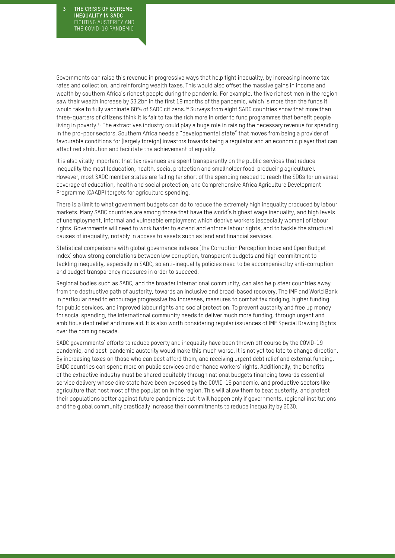**3 THE CRISIS OF EXTREME INEQUALITY IN SADC**  FIGHTING AUSTERITY AND THE COVID-19 PANDEMIC

Governments can raise this revenue in progressive ways that help fight inequality, by increasing income tax rates and collection, and reinforcing wealth taxes. This would also offset the massive gains in income and wealth by southern Africa's richest people during the pandemic. For example, the five richest men in the region saw their wealth increase by \$3.2bn in the first 19 months of the pandemic, which is more than the funds it would take to fully vaccinate 60% of SADC citizens.<sup>14</sup> Surveys from eight SADC countries show that more than three-quarters of citizens think it is fair to tax the rich more in order to fund programmes that benefit people living in poverty.<sup>15</sup> The extractives industry could play a huge role in raising the necessary revenue for spending in the pro-poor sectors. Southern Africa needs a "developmental state" that moves from being a provider of favourable conditions for (largely foreign) investors towards being a regulator and an economic player that can affect redistribution and facilitate the achievement of equality.

It is also vitally important that tax revenues are spent transparently on the public services that reduce inequality the most (education, health, social protection and smallholder food-producing agriculture). However, most SADC member states are falling far short of the spending needed to reach the SDGs for universal coverage of education, health and social protection, and Comprehensive Africa Agriculture Development Programme (CAADP) targets for agriculture spending.

There is a limit to what government budgets can do to reduce the extremely high inequality produced by labour markets. Many SADC countries are among those that have the world's highest wage inequality, and high levels of unemployment, informal and vulnerable employment which deprive workers (especially women) of labour rights. Governments will need to work harder to extend and enforce labour rights, and to tackle the structural causes of inequality, notably in access to assets such as land and financial services.

Statistical comparisons with global governance indexes (the Corruption Perception Index and Open Budget Index) show strong correlations between low corruption, transparent budgets and high commitment to tackling inequality, especially in SADC, so anti-inequality policies need to be accompanied by anti-corruption and budget transparency measures in order to succeed.

Regional bodies such as SADC, and the broader international community, can also help steer countries away from the destructive path of austerity, towards an inclusive and broad-based recovery. The IMF and World Bank in particular need to encourage progressive tax increases, measures to combat tax dodging, higher funding for public services, and improved labour rights and social protection. To prevent austerity and free up money for social spending, the international community needs to deliver much more funding, through urgent and ambitious debt relief and more aid. It is also worth considering regular issuances of IMF Special Drawing Rights over the coming decade.

SADC governments' efforts to reduce poverty and inequality have been thrown off course by the COVID-19 pandemic, and post-pandemic austerity would make this much worse. It is not yet too late to change direction. By increasing taxes on those who can best afford them, and receiving urgent debt relief and external funding, SADC countries can spend more on public services and enhance workers' rights. Additionally, the benefits of the extractive industry must be shared equitably through national budgets financing towards essential service delivery whose dire state have been exposed by the COVID-19 pandemic, and productive sectors like agriculture that host most of the population in the region. This will allow them to beat austerity, and protect their populations better against future pandemics: but it will happen only if governments, regional institutions and the global community drastically increase their commitments to reduce inequality by 2030.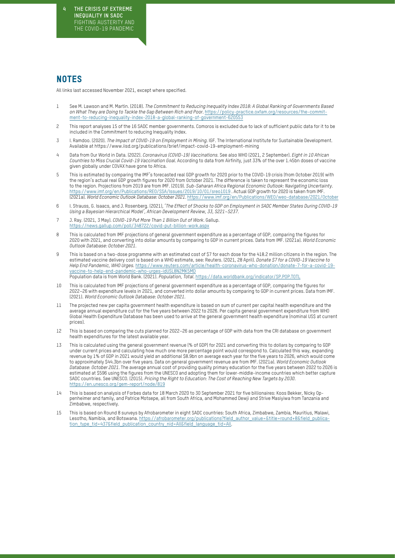## **NOTES**

All links last accessed November 2021, except where specified.

- 1 See M. Lawson and M. Martin. (2018). *The Commitment to Reducing Inequality Index 2018: A Global Ranking of Governments Based on What They are Doing to Tackle the Gap Between Rich and Poor*. [https://policy-practice.oxfam.org/resources/the-commit](https://policy-practice.oxfam.org/resources/the-commitment-to-reducing-inequality-index-2018-a-global-ranking-of-government-620553/)[ment-to-reducing-inequality-index-2018-a-global-ranking-of-government-620553](https://policy-practice.oxfam.org/resources/the-commitment-to-reducing-inequality-index-2018-a-global-ranking-of-government-620553/)
- 2 This report analyses 15 of the 16 SADC member governments. Comoros is excluded due to lack of sufficient public data for it to be included in the Commitment to reducing Inequality Index.
- 3 I. Ramdoo. (2020). *The Impact of COVID-19 on Employment in Mining*. IGF. The International Institute for Sustainable Development. Available at <https://www.iisd.org/publications/brief/impact-covid-19-employment-mining>
- 4 Data from Our World in Data. (2022). *Coronavirus (COVID-19) Vaccinations*. See also WHO (2021, 2 September). *Eight in 10 African Countries to Miss Crucial Covid-19 Vaccination Goal*. According to data from Airfinity, just 33% of the over 1.45bn doses of vaccine given globally under COVAX have gone to Africa.
- 5 This is estimated by comparing the IMF's forecasted real GDP growth for 2020 prior to the COVID-19 crisis (from October 2019) with the region's actual real GDP growth figures for 2020 from October 2021. The difference is taken to represent the economic loss to the region. Projections from 2019 are from IMF. (2019). *Sub-Saharan Africa Regional Economic Outlook: Navigating Uncertainty*. <https://www.imf.org/en/Publications/REO/SSA/Issues/2019/10/01/sreo1019> . Actual GDP growth for 2020 is taken from IMF. (2021a). *World Economic Outlook Database: October 2021.* [https://www.imf.org/en/Publications/WEO/weo-database/2021/October](https://www.imf.org/en/Publications/WEO/weo-database/2021/April/weo-report?c=638,748,624,628,662,648,652,656,654,668,678,692,694,722,724,742,&s=GGX_NGDP,&sy=2018&ey=2026&ssm=0&scsm=1&scc=0&ssd=1&ssc=0&sic=0&sort=country&ds=.&br=1)
- 6 I. Strauss, G. Isaacs, and J. Rosenberg. (2021), '*The Effect of Shocks to GDP on Employment in SADC Member States During COVID-19 Using a Bayesian Hierarchical Model', African Development Review, 33, S221–S237*.
- 7 J. Ray. (2021, 3 May). *COVID-19 Put More Than 1 Billion Out of Work.* Gallup. <https://news.gallup.com/poll/348722/covid-put-billion-work.aspx>
- 8 This is calculated from IMF projections of general government expenditure as a percentage of GDP, comparing the figures for 2020 with 2021, and converting into dollar amounts by comparing to GDP in current prices. Data from IMF. (2021a). *World Economic Outlook Database: October 2021*.
- 9 This is based on a two-dose programme with an estimated cost of \$7 for each dose for the 418.2 million citizens in the region. The estimated vaccine delivery cost is based on a WHO estimate, see: Reuters. (2021, 28 April). *Donate \$7 for a COVID-19 Vaccine to Help End Pandemic, WHO Urges*. [https://www.reuters.com/article/health-coronavirus-who-donation/donate-7-for-a-covid-19](https://www.reuters.com/article/health-coronavirus-who-donation/donate-7-for-a-covid-19-vaccine-to-help-end-pandemic-who-urges-idUSL8N2MK5MD) [vaccine-to-help-end-pandemic-who-urges-idUSL8N2MK5MD](https://www.reuters.com/article/health-coronavirus-who-donation/donate-7-for-a-covid-19-vaccine-to-help-end-pandemic-who-urges-idUSL8N2MK5MD) Population data is from World Bank. (2021). *Population, Total*. <https://data.worldbank.org/indicator/SP.POP.TOTL>
- 10 This is calculated from IMF projections of general government expenditure as a percentage of GDP, comparing the figures for 2022–26 with expenditure levels in 2021, and converted into dollar amounts by comparing to GDP in current prices. Data from IMF. (2021). *World Economic Outlook Database: October 2021*.
- 11 The projected new per capita government health expenditure is based on sum of current per capital health expenditure and the average annual expenditure cut for the five years between 2022 to 2026. Per capita general government expenditure from WHO Global Health Expenditure Database has been used to arrive at the general government health expenditure (nominal US\$ at current prices).
- 12 This is based on comparing the cuts planned for 2022–26 as percentage of GDP with data from the CRI database on government health expenditures for the latest available year.
- 13 This is calculated using the general government revenue (% of GDP) for 2021 and converting this to dollars by comparing to GDP under current prices and calculating how much one more percentage point would correspond to. Calculated this way, expanding revenue by 1% of GDP in 2021 would yield an additional \$8.9bn on average each year for the five years to 2026, which would come to approximately \$44.3bn over five years. Data on general government revenue are from IMF. (2021a). *World Economic Outlook Database*: *October 2021*. The average annual cost of providing quality primary education for the five years between 2022 to 2026 is estimated at \$596 using the figures from the UNESCO and adopting them for lower-middle-income countries which better capture SADC countries. See UNESCO. (2015). *Pricing the Right to Education: The Cost of Reaching New Targets by 2030*. <https://en.unesco.org/gem-report/node/819>
- 14 This is based on analysis of Forbes data for 18 March 2020 to 30 September 2021 for five billionaires: Koos Bekker, Nicky Oppenheimer and family, and Patrice Motsepe, all from South Africa, and Mohammed Dewji and Strive Masiyiwa from Tanzania and Zimbabwe, respectively.
- 15 This is based on Round 8 surveys by Afrobarometer in eight SADC countries: South Africa, Zimbabwe, Zambia, Mauritius, Malawi, Lesotho, Namibia, and Botswana. [https://afrobarometer.org/publications?field\\_author\\_value=&title=round+8&field\\_publica](https://afrobarometer.org/publications?field_author_value=&title=round+8&field_publication_type_tid=437&field_publication_country_nid=All&field_language_tid=All)[tion\\_type\\_tid=437&field\\_publication\\_country\\_nid=All&field\\_language\\_tid=All](https://afrobarometer.org/publications?field_author_value=&title=round+8&field_publication_type_tid=437&field_publication_country_nid=All&field_language_tid=All).